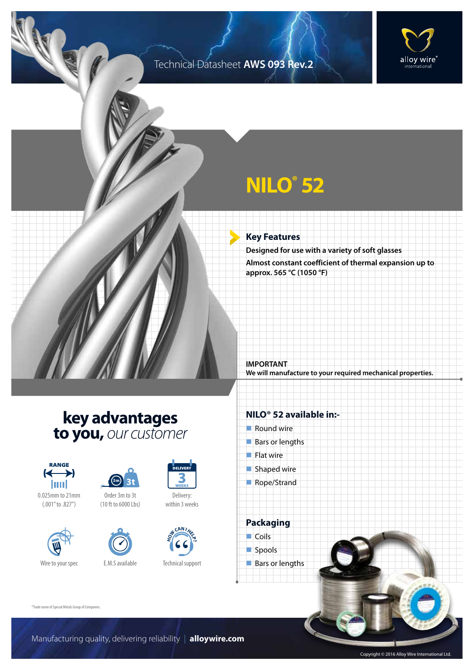### Technical Datasheet **AWS 093 Rev.2**



# **NILO® 52**

#### **Key Features**

**Designed for use with a variety of soft glasses Almost constant coefficient of thermal expansion up to approx. 565 °C (1050 °F)**

**IMPORTANT We will manufacture to your required mechanical properties.**

## **key advantages to you,** *our customer*



0.025mm to 21mm (.001" to .827")





(10 ft to 6000 Lbs)



Delivery: within 3 weeks



Technical support

### **NILO® 52 available in:-**

- $\blacksquare$  Round wire
- Bars or lengths
- $\blacksquare$  Flat wire
- $\blacksquare$  Shaped wire
- Rope/Strand

**Packaging**  $\Box$  Coils spools  $\blacksquare$  Bars or lengths

®Trade name of Special Metals Group of Companies.

Copyright © 2016 Alloy Wire International Ltd.